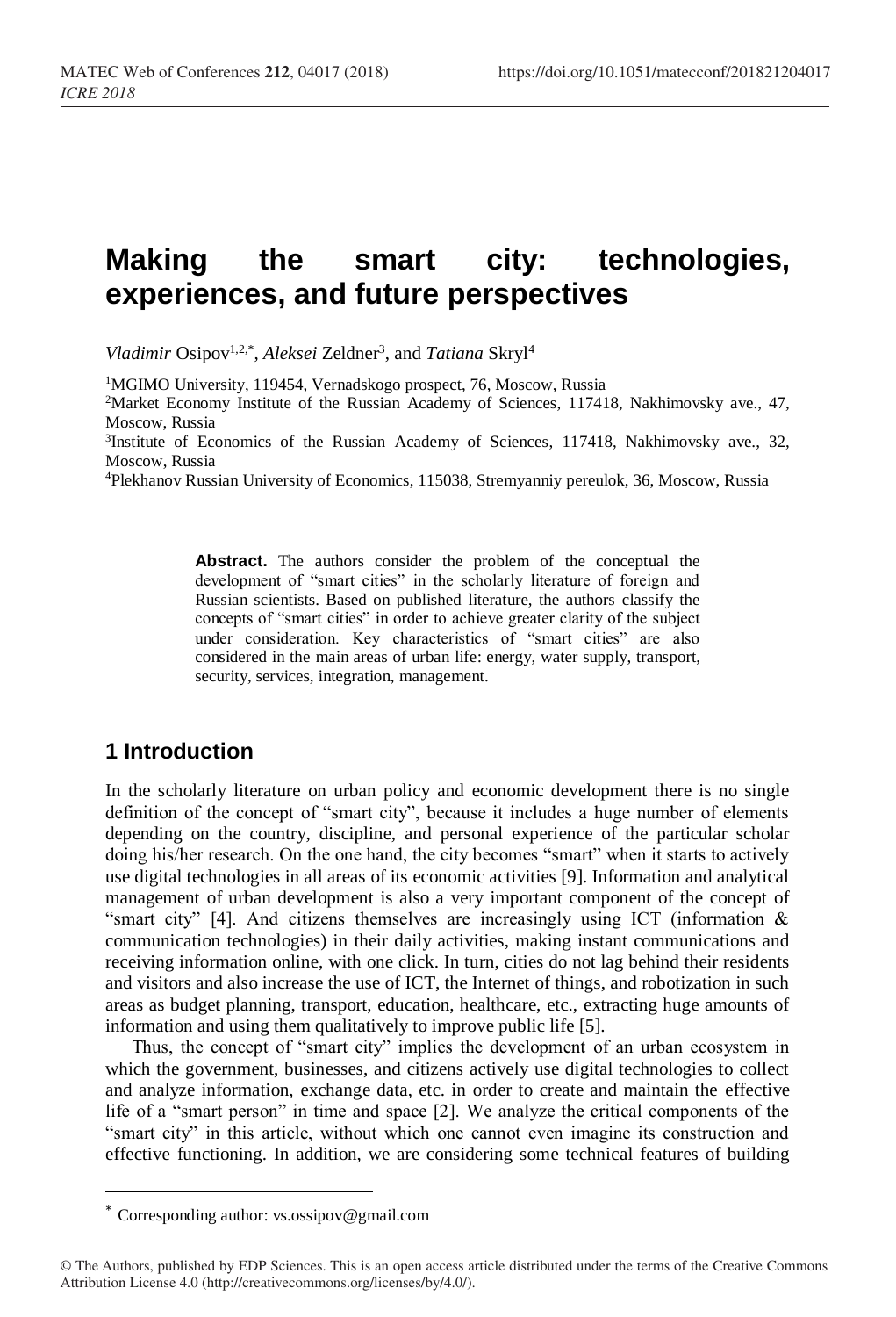# **Making the smart city: technologies, experiences, and future perspectives**

*Vladimir* Osipov<sup>1,2,\*</sup>, *Aleksei* Zeldner<sup>3</sup>, and *Tatiana* Skryl<sup>4</sup>

<sup>1</sup>MGIMO University, 119454, Vernadskogo prospect, 76, Moscow, Russia

<sup>2</sup>Market Economy Institute of the Russian Academy of Sciences, 117418, Nakhimovsky ave., 47, Moscow, Russia

3 Institute of Economics of the Russian Academy of Sciences, 117418, Nakhimovsky ave., 32, Moscow, Russia

<sup>4</sup>Plekhanov Russian University of Economics, 115038, Stremyanniy pereulok, 36, Moscow, Russia

**Abstract.** The authors consider the problem of the conceptual the development of "smart cities" in the scholarly literature of foreign and Russian scientists. Based on published literature, the authors classify the concepts of "smart cities" in order to achieve greater clarity of the subject under consideration. Key characteristics of "smart cities" are also considered in the main areas of urban life: energy, water supply, transport, security, services, integration, management.

# **1 Introduction**

 $\overline{a}$ 

In the scholarly literature on urban policy and economic development there is no single definition of the concept of "smart city", because it includes a huge number of elements depending on the country, discipline, and personal experience of the particular scholar doing his/her research. On the one hand, the city becomes "smart" when it starts to actively use digital technologies in all areas of its economic activities [9]. Information and analytical management of urban development is also a very important component of the concept of "smart city" [4]. And citizens themselves are increasingly using ICT (information  $\&$ communication technologies) in their daily activities, making instant communications and receiving information online, with one click. In turn, cities do not lag behind their residents and visitors and also increase the use of ICT, the Internet of things, and robotization in such areas as budget planning, transport, education, healthcare, etc., extracting huge amounts of information and using them qualitatively to improve public life [5].

Thus, the concept of "smart city" implies the development of an urban ecosystem in which the government, businesses, and citizens actively use digital technologies to collect and analyze information, exchange data, etc. in order to create and maintain the effective life of a "smart person" in time and space [2]. We analyze the critical components of the "smart city" in this article, without which one cannot even imagine its construction and effective functioning. In addition, we are considering some technical features of building

<sup>\*</sup> Corresponding author: [vs.ossipov@gmail.com](https://e.mail.ru/compose/?mailto=mailto%3avs.ossipov@gmail.com)

<sup>©</sup> The Authors, published by EDP Sciences. This is an open access article distributed under the terms of the Creative Commons Attribution License 4.0 (http://creativecommons.org/licenses/by/4.0/).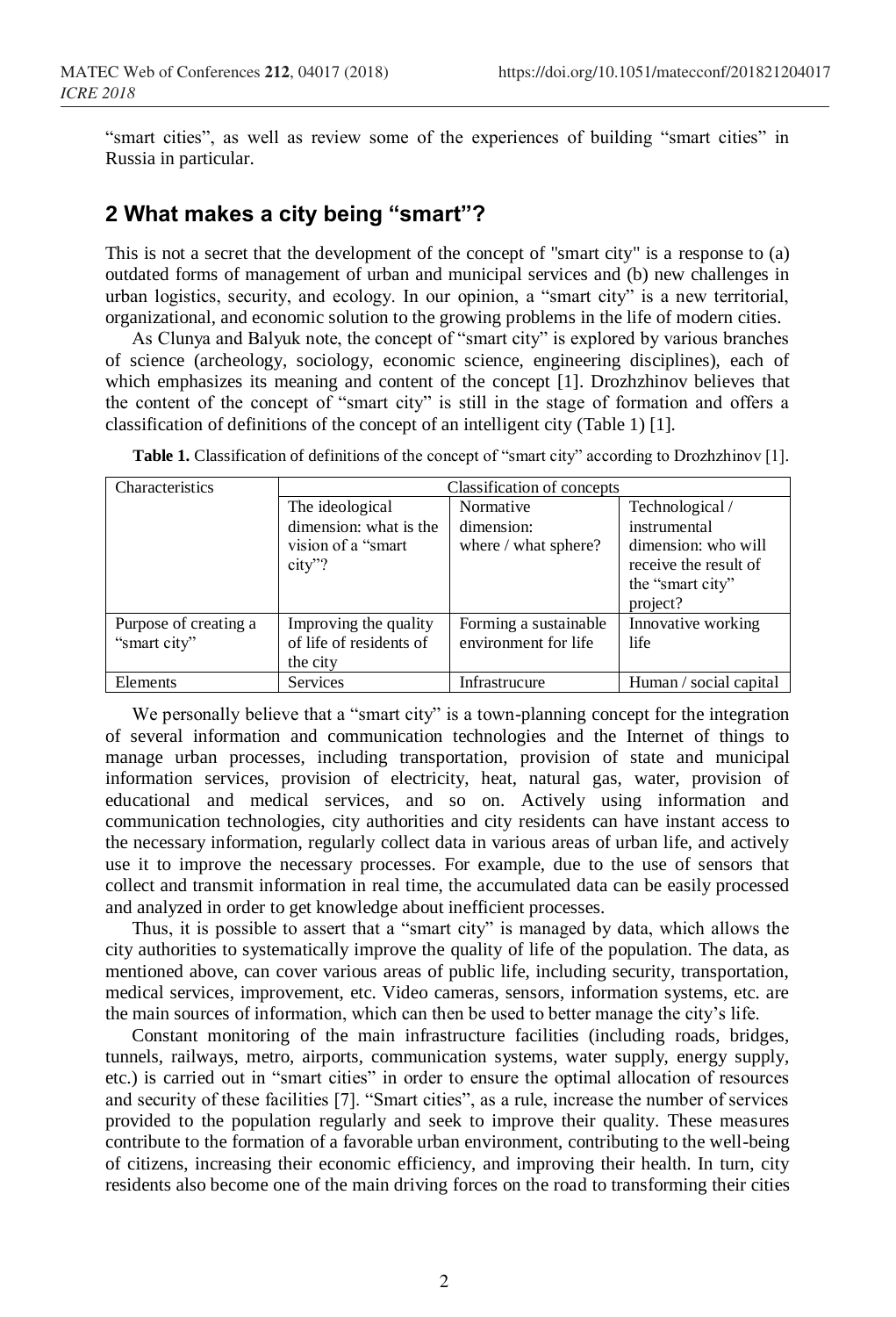"smart cities", as well as review some of the experiences of building "smart cities" in Russia in particular.

#### **2 What makes a city being "smart"?**

This is not a secret that the development of the concept of "smart city" is a response to (a) outdated forms of management of urban and municipal services and (b) new challenges in urban logistics, security, and ecology. In our opinion, a "smart city" is a new territorial, organizational, and economic solution to the growing problems in the life of modern cities.

As Clunya and Balyuk note, the concept of "smart city" is explored by various branches of science (archeology, sociology, economic science, engineering disciplines), each of which emphasizes its meaning and content of the concept [1]. Drozhzhinov believes that the content of the concept of "smart city" is still in the stage of formation and offers a classification of definitions of the concept of an intelligent city (Table 1) [1].

| Characteristics       |                                | Classification of concepts |                                                                              |
|-----------------------|--------------------------------|----------------------------|------------------------------------------------------------------------------|
|                       | The ideological                | Normative                  | Technological /                                                              |
|                       | dimension: what is the         | dimension:                 | instrumental                                                                 |
|                       | vision of a "smart<br>$city$ ? | where / what sphere?       | dimension: who will<br>receive the result of<br>the "smart city"<br>project? |
| Purpose of creating a | Improving the quality          | Forming a sustainable      | Innovative working                                                           |
| "smart city"          | of life of residents of        | environment for life       | life                                                                         |
|                       | the city                       |                            |                                                                              |
| Elements              | Services                       | Infrastrucure              | Human / social capital                                                       |

**Table 1.** Classification of definitions of the concept of "smart city" according to Drozhzhinov [1].

We personally believe that a "smart city" is a town-planning concept for the integration of several information and communication technologies and the Internet of things to manage urban processes, including transportation, provision of state and municipal information services, provision of electricity, heat, natural gas, water, provision of educational and medical services, and so on. Actively using information and communication technologies, city authorities and city residents can have instant access to the necessary information, regularly collect data in various areas of urban life, and actively use it to improve the necessary processes. For example, due to the use of sensors that collect and transmit information in real time, the accumulated data can be easily processed and analyzed in order to get knowledge about inefficient processes.

Thus, it is possible to assert that a "smart city" is managed by data, which allows the city authorities to systematically improve the quality of life of the population. The data, as mentioned above, can cover various areas of public life, including security, transportation, medical services, improvement, etc. Video cameras, sensors, information systems, etc. are the main sources of information, which can then be used to better manage the city's life.

Constant monitoring of the main infrastructure facilities (including roads, bridges, tunnels, railways, metro, airports, communication systems, water supply, energy supply, etc.) is carried out in "smart cities" in order to ensure the optimal allocation of resources and security of these facilities [7]. "Smart cities", as a rule, increase the number of services provided to the population regularly and seek to improve their quality. These measures contribute to the formation of a favorable urban environment, contributing to the well-being of citizens, increasing their economic efficiency, and improving their health. In turn, city residents also become one of the main driving forces on the road to transforming their cities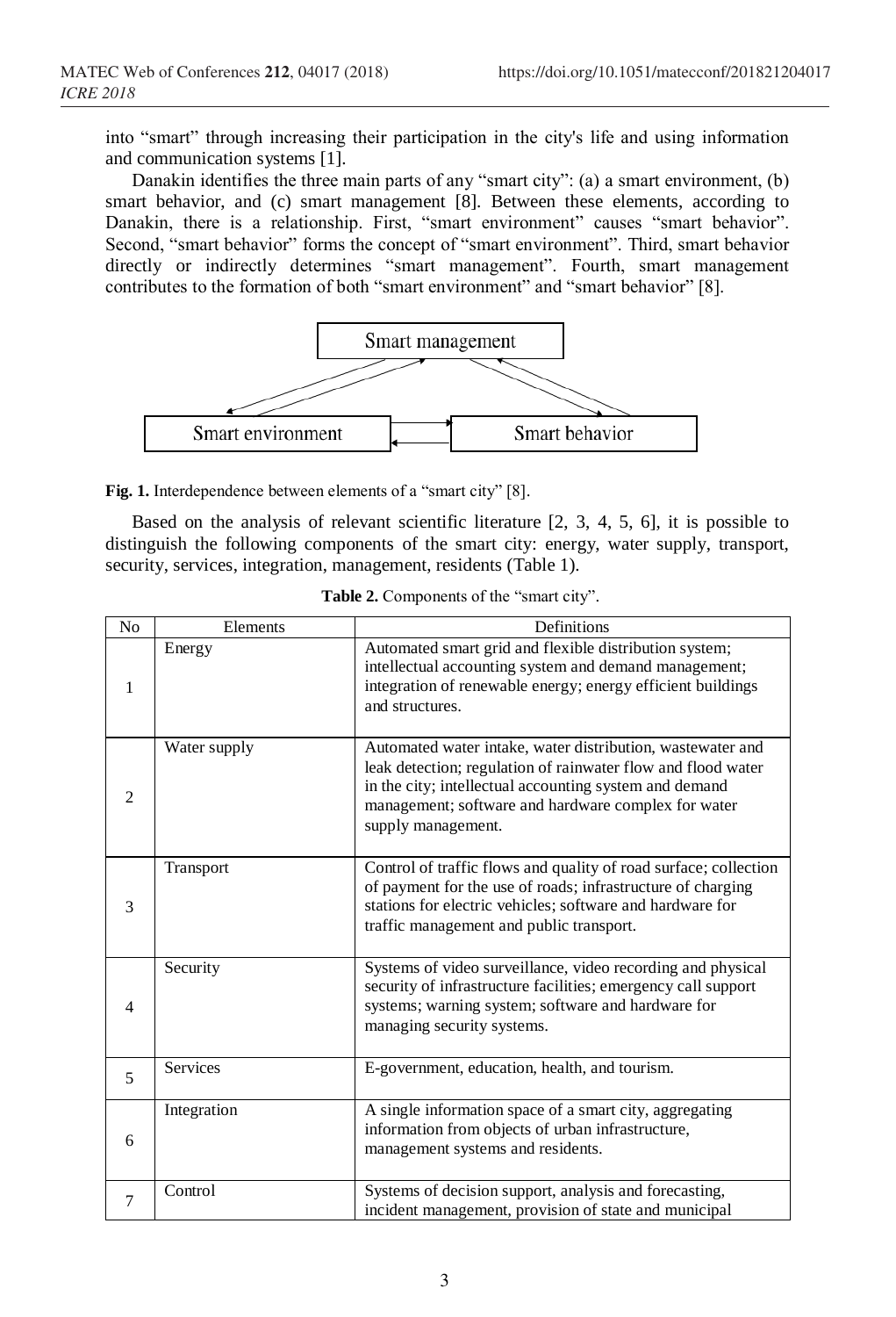into "smart" through increasing their participation in the city's life and using information and communication systems [1].

Danakin identifies the three main parts of any "smart city": (a) a smart environment, (b) smart behavior, and (c) smart management [8]. Between these elements, according to Danakin, there is a relationship. First, "smart environment" causes "smart behavior". Second, "smart behavior" forms the concept of "smart environment". Third, smart behavior directly or indirectly determines "smart management". Fourth, smart management contributes to the formation of both "smart environment" and "smart behavior" [8].



**Fig. 1.** Interdependence between elements of a "smart city" [8].

Based on the analysis of relevant scientific literature [2, 3, 4, 5, 6], it is possible to distinguish the following components of the smart city: energy, water supply, transport, security, services, integration, management, residents (Table 1).

| N <sub>o</sub> | Elements        | <b>Definitions</b>                                                                                                                                                                                                                                                |
|----------------|-----------------|-------------------------------------------------------------------------------------------------------------------------------------------------------------------------------------------------------------------------------------------------------------------|
| 1              | Energy          | Automated smart grid and flexible distribution system;<br>intellectual accounting system and demand management;<br>integration of renewable energy; energy efficient buildings<br>and structures.                                                                 |
| $\overline{c}$ | Water supply    | Automated water intake, water distribution, wastewater and<br>leak detection; regulation of rainwater flow and flood water<br>in the city; intellectual accounting system and demand<br>management; software and hardware complex for water<br>supply management. |
| 3              | Transport       | Control of traffic flows and quality of road surface; collection<br>of payment for the use of roads; infrastructure of charging<br>stations for electric vehicles; software and hardware for<br>traffic management and public transport.                          |
| 4              | Security        | Systems of video surveillance, video recording and physical<br>security of infrastructure facilities; emergency call support<br>systems; warning system; software and hardware for<br>managing security systems.                                                  |
| $\overline{5}$ | <b>Services</b> | E-government, education, health, and tourism.                                                                                                                                                                                                                     |
| 6              | Integration     | A single information space of a smart city, aggregating<br>information from objects of urban infrastructure,<br>management systems and residents.                                                                                                                 |
| 7              | Control         | Systems of decision support, analysis and forecasting,<br>incident management, provision of state and municipal                                                                                                                                                   |

|  | Table 2. Components of the "smart city". |  |  |
|--|------------------------------------------|--|--|
|  |                                          |  |  |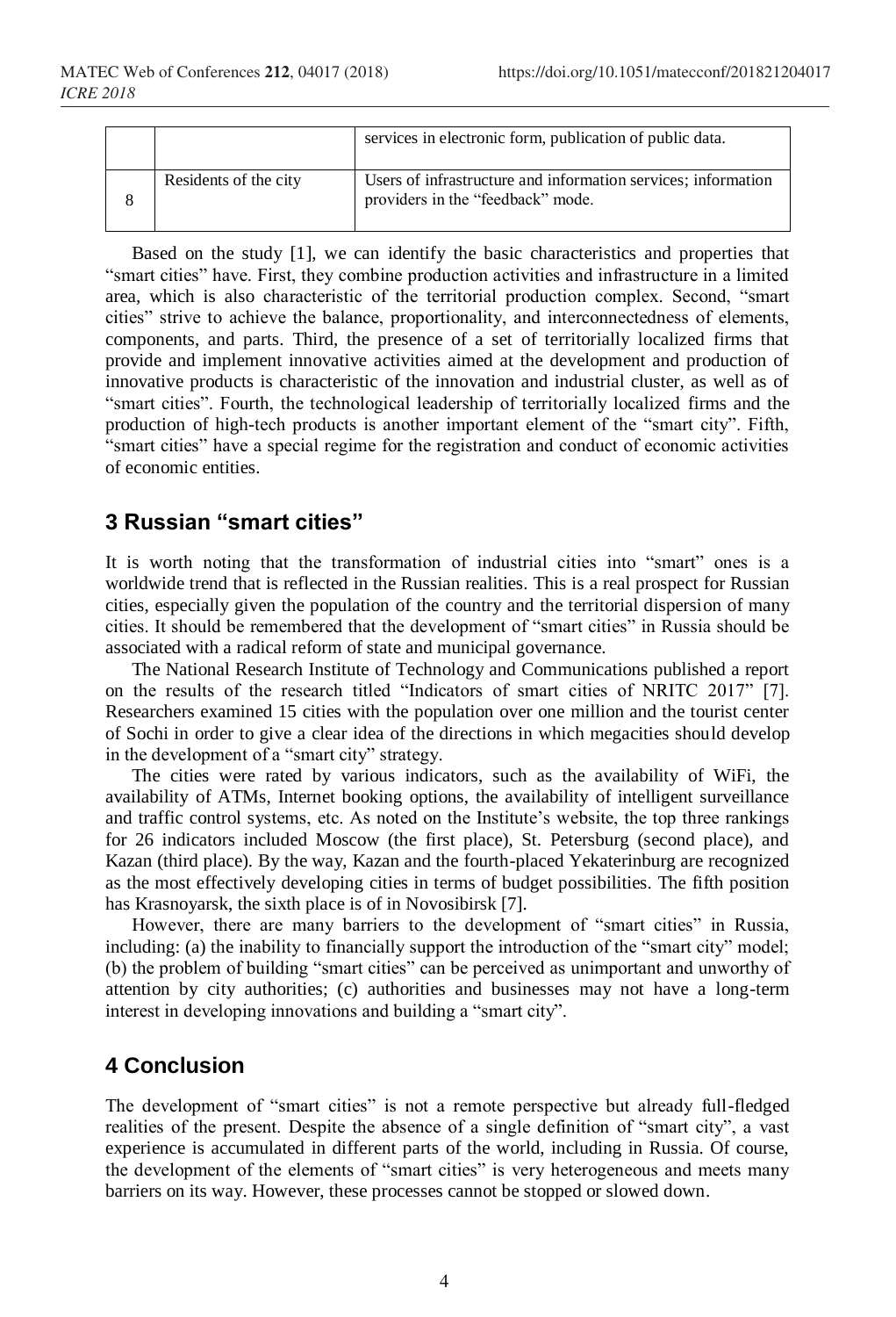|                       | services in electronic form, publication of public data.                                           |
|-----------------------|----------------------------------------------------------------------------------------------------|
| Residents of the city | Users of infrastructure and information services; information<br>providers in the "feedback" mode. |

Based on the study [1], we can identify the basic characteristics and properties that "smart cities" have. First, they combine production activities and infrastructure in a limited area, which is also characteristic of the territorial production complex. Second, "smart cities" strive to achieve the balance, proportionality, and interconnectedness of elements, components, and parts. Third, the presence of a set of territorially localized firms that provide and implement innovative activities aimed at the development and production of innovative products is characteristic of the innovation and industrial cluster, as well as of "smart cities". Fourth, the technological leadership of territorially localized firms and the production of high-tech products is another important element of the "smart city". Fifth, "smart cities" have a special regime for the registration and conduct of economic activities of economic entities.

### **3 Russian "smart cities"**

It is worth noting that the transformation of industrial cities into "smart" ones is a worldwide trend that is reflected in the Russian realities. This is a real prospect for Russian cities, especially given the population of the country and the territorial dispersion of many cities. It should be remembered that the development of "smart cities" in Russia should be associated with a radical reform of state and municipal governance.

The National Research Institute of Technology and Communications published a report on the results of the research titled "Indicators of smart cities of NRITC 2017" [7]. Researchers examined 15 cities with the population over one million and the tourist center of Sochi in order to give a clear idea of the directions in which megacities should develop in the development of a "smart city" strategy.

The cities were rated by various indicators, such as the availability of WiFi, the availability of ATMs, Internet booking options, the availability of intelligent surveillance and traffic control systems, etc. As noted on the Institute's website, the top three rankings for 26 indicators included Moscow (the first place), St. Petersburg (second place), and Kazan (third place). By the way, Kazan and the fourth-placed Yekaterinburg are recognized as the most effectively developing cities in terms of budget possibilities. The fifth position has Krasnoyarsk, the sixth place is of in Novosibirsk [7].

However, there are many barriers to the development of "smart cities" in Russia, including: (a) the inability to financially support the introduction of the "smart city" model; (b) the problem of building "smart cities" can be perceived as unimportant and unworthy of attention by city authorities; (c) authorities and businesses may not have a long-term interest in developing innovations and building a "smart city".

## **4 Conclusion**

The development of "smart cities" is not a remote perspective but already full-fledged realities of the present. Despite the absence of a single definition of "smart city", a vast experience is accumulated in different parts of the world, including in Russia. Of course, the development of the elements of "smart cities" is very heterogeneous and meets many barriers on its way. However, these processes cannot be stopped or slowed down.